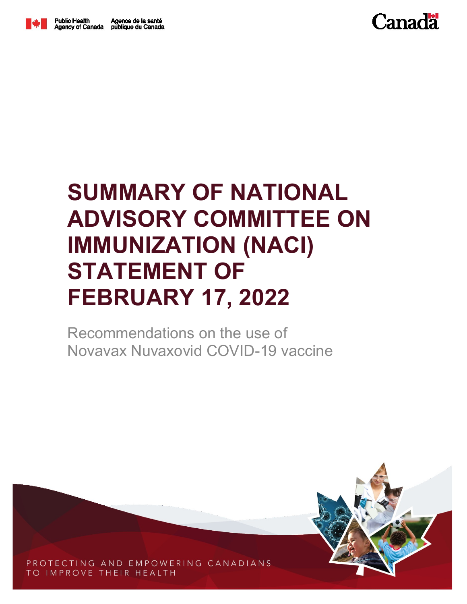

## **SUMMARY OF NATIONAL ADVISORY COMMITTEE ON IMMUNIZATION (NACI) STATEMENT OF FEBRUARY 17, 2022**

Recommendations on the use of Novavax Nuvaxovid COVID-19 vaccine



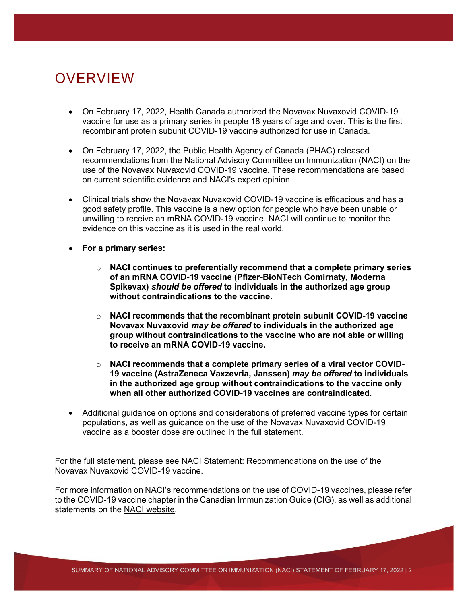## OVERVIEW

- On February 17, 2022, Health Canada authorized the Novavax Nuvaxovid COVID-19 vaccine for use as a primary series in people 18 years of age and over. This is the first recombinant protein subunit COVID-19 vaccine authorized for use in Canada.
- On February 17, 2022, the Public Health Agency of Canada (PHAC) released recommendations from the National Advisory Committee on Immunization (NACI) on the use of the Novavax Nuvaxovid COVID-19 vaccine. These recommendations are based on current scientific evidence and NACI's expert opinion.
- Clinical trials show the Novavax Nuvaxovid COVID-19 vaccine is efficacious and has a good safety profile. This vaccine is a new option for people who have been unable or unwilling to receive an mRNA COVID-19 vaccine. NACI will continue to monitor the evidence on this vaccine as it is used in the real world.
- **For a primary series:**
	- o **NACI continues to preferentially recommend that a complete primary series of an mRNA COVID-19 vaccine (Pfizer-BioNTech Comirnaty, Moderna Spikevax)** *should be offered* **to individuals in the authorized age group without contraindications to the vaccine.**
	- o **NACI recommends that the recombinant protein subunit COVID-19 vaccine Novavax Nuvaxovid** *may be offered* **to individuals in the authorized age group without contraindications to the vaccine who are not able or willing to receive an mRNA COVID-19 vaccine.**
	- o **NACI recommends that a complete primary series of a viral vector COVID-19 vaccine (AstraZeneca Vaxzevria, Janssen)** *may be offered* **to individuals in the authorized age group without contraindications to the vaccine only when all other authorized COVID-19 vaccines are contraindicated.**
- Additional guidance on options and considerations of preferred vaccine types for certain populations, as well as guidance on the use of the Novavax Nuvaxovid COVID-19 vaccine as a booster dose are outlined in the full statement.

For the full statement, please see NACI Statement: Recommendations on the use of the [Novavax Nuvaxovid COVID-19 vaccine.](https://www.canada.ca/en/public-health/services/immunization/national-advisory-committee-on-immunization-naci.html)

For more information on NACI's recommendations on the use of COVID-19 vaccines, please refer to th[e COVID-19 vaccine chapter](https://www.canada.ca/en/public-health/services/publications/healthy-living/canadian-immunization-guide-part-4-active-vaccines/page-26-covid-19-vaccine.html) in the [Canadian Immunization Guide](https://www.canada.ca/en/public-health/services/canadian-immunization-guide.html) (CIG), as well as additional statements on the [NACI website.](https://www.canada.ca/en/public-health/services/immunization/national-advisory-committee-on-immunization-naci.html)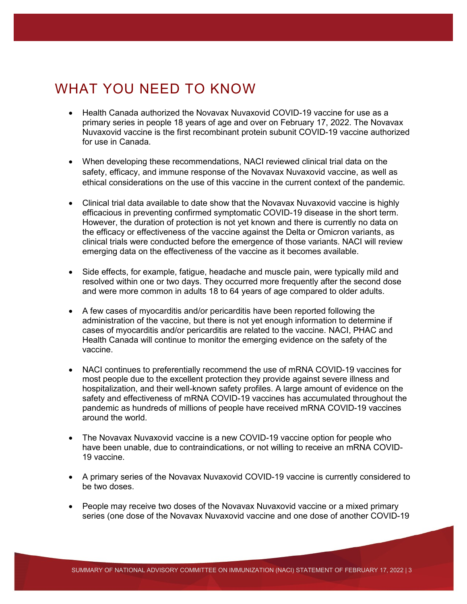## WHAT YOU NEED TO KNOW

- Health Canada authorized the Novavax Nuvaxovid COVID-19 vaccine for use as a primary series in people 18 years of age and over on February 17, 2022. The Novavax Nuvaxovid vaccine is the first recombinant protein subunit COVID-19 vaccine authorized for use in Canada.
- When developing these recommendations, NACI reviewed clinical trial data on the safety, efficacy, and immune response of the Novavax Nuvaxovid vaccine, as well as ethical considerations on the use of this vaccine in the current context of the pandemic.
- Clinical trial data available to date show that the Novavax Nuvaxovid vaccine is highly efficacious in preventing confirmed symptomatic COVID-19 disease in the short term. However, the duration of protection is not yet known and there is currently no data on the efficacy or effectiveness of the vaccine against the Delta or Omicron variants, as clinical trials were conducted before the emergence of those variants. NACI will review emerging data on the effectiveness of the vaccine as it becomes available.
- Side effects, for example, fatigue, headache and muscle pain, were typically mild and resolved within one or two days. They occurred more frequently after the second dose and were more common in adults 18 to 64 years of age compared to older adults.
- A few cases of myocarditis and/or pericarditis have been reported following the administration of the vaccine, but there is not yet enough information to determine if cases of myocarditis and/or pericarditis are related to the vaccine. NACI, PHAC and Health Canada will continue to monitor the emerging evidence on the safety of the vaccine.
- NACI continues to preferentially recommend the use of mRNA COVID-19 vaccines for most people due to the excellent protection they provide against severe illness and hospitalization, and their well-known safety profiles. A large amount of evidence on the safety and effectiveness of mRNA COVID-19 vaccines has accumulated throughout the pandemic as hundreds of millions of people have received mRNA COVID-19 vaccines around the world.
- The Novavax Nuvaxovid vaccine is a new COVID-19 vaccine option for people who have been unable, due to contraindications, or not willing to receive an mRNA COVID-19 vaccine.
- A primary series of the Novavax Nuvaxovid COVID-19 vaccine is currently considered to be two doses.
- People may receive two doses of the Novavax Nuvaxovid vaccine or a mixed primary series (one dose of the Novavax Nuvaxovid vaccine and one dose of another COVID-19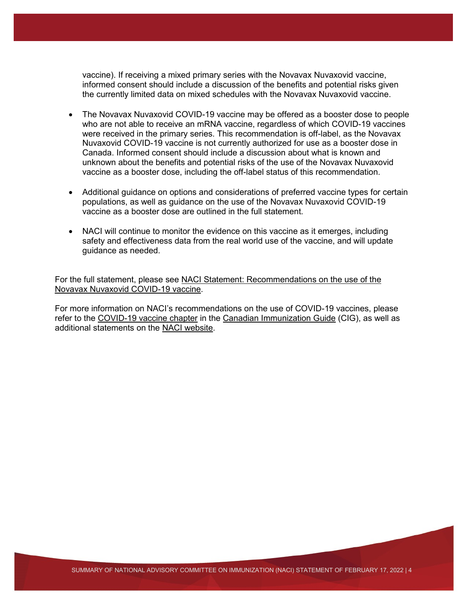vaccine). If receiving a mixed primary series with the Novavax Nuvaxovid vaccine, informed consent should include a discussion of the benefits and potential risks given the currently limited data on mixed schedules with the Novavax Nuvaxovid vaccine.

- The Novavax Nuvaxovid COVID-19 vaccine may be offered as a booster dose to people who are not able to receive an mRNA vaccine, regardless of which COVID-19 vaccines were received in the primary series. This recommendation is off-label, as the Novavax Nuvaxovid COVID-19 vaccine is not currently authorized for use as a booster dose in Canada. Informed consent should include a discussion about what is known and unknown about the benefits and potential risks of the use of the Novavax Nuvaxovid vaccine as a booster dose, including the off-label status of this recommendation.
- Additional guidance on options and considerations of preferred vaccine types for certain populations, as well as guidance on the use of the Novavax Nuvaxovid COVID-19 vaccine as a booster dose are outlined in the full statement.
- NACI will continue to monitor the evidence on this vaccine as it emerges, including safety and effectiveness data from the real world use of the vaccine, and will update guidance as needed.

For the full statement, please see [NACI Statement: Recommendations on the use of the](https://www.canada.ca/en/public-health/services/immunization/national-advisory-committee-on-immunization-naci.html)  [Novavax Nuvaxovid COVID-19 vaccine.](https://www.canada.ca/en/public-health/services/immunization/national-advisory-committee-on-immunization-naci.html)

For more information on NACI's recommendations on the use of COVID-19 vaccines, please refer to the [COVID-19 vaccine chapter](https://www.canada.ca/en/public-health/services/publications/healthy-living/canadian-immunization-guide-part-4-active-vaccines/page-26-covid-19-vaccine.html) in the [Canadian Immunization Guide](https://www.canada.ca/en/public-health/services/canadian-immunization-guide.html) (CIG), as well as additional statements on the [NACI website.](https://www.canada.ca/en/public-health/services/immunization/national-advisory-committee-on-immunization-naci.html)